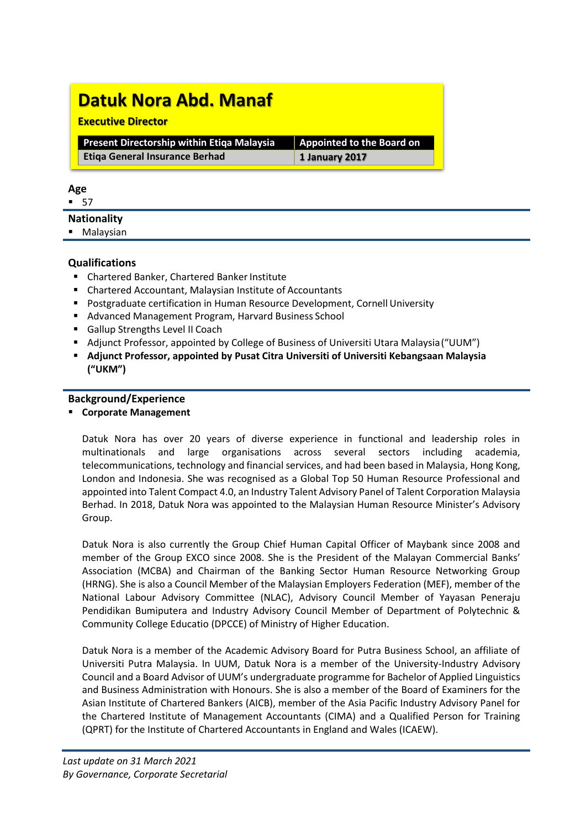# **Datuk Nora Abd. Manaf**

#### **Executive Director**

| <b>Present Directorship within Etiga Malaysia</b> | Appointed to the Board on |
|---------------------------------------------------|---------------------------|
| <b>Etiga General Insurance Berhad</b>             | $\vert$ 1 January 2017    |

#### **Age**

 $-57$ 

## **Nationality**

**Malaysian** 

## **Qualifications**

- Chartered Banker, Chartered Banker Institute
- Chartered Accountant, Malaysian Institute of Accountants
- **Postgraduate certification in Human Resource Development, Cornell University**
- Advanced Management Program, Harvard Business School
- Gallup Strengths Level II Coach
- Adjunct Professor, appointed by College of Business of Universiti Utara Malaysia("UUM")
- **Adjunct Professor, appointed by Pusat Citra Universiti of Universiti Kebangsaan Malaysia ("UKM")**

## **Background/Experience**

**Corporate Management**

Datuk Nora has over 20 years of diverse experience in functional and leadership roles in multinationals and large organisations across several sectors including academia, telecommunications, technology and financial services, and had been based in Malaysia, Hong Kong, London and Indonesia. She was recognised as a Global Top 50 Human Resource Professional and appointed into Talent Compact 4.0, an Industry Talent Advisory Panel of Talent Corporation Malaysia Berhad. In 2018, Datuk Nora was appointed to the Malaysian Human Resource Minister's Advisory Group.

Datuk Nora is also currently the Group Chief Human Capital Officer of Maybank since 2008 and member of the Group EXCO since 2008. She is the President of the Malayan Commercial Banks' Association (MCBA) and Chairman of the Banking Sector Human Resource Networking Group (HRNG). She is also a Council Member of the Malaysian Employers Federation (MEF), member of the National Labour Advisory Committee (NLAC), Advisory Council Member of Yayasan Peneraju Pendidikan Bumiputera and Industry Advisory Council Member of Department of Polytechnic & Community College Educatio (DPCCE) of Ministry of Higher Education.

Datuk Nora is a member of the Academic Advisory Board for Putra Business School, an affiliate of Universiti Putra Malaysia. In UUM, Datuk Nora is a member of the University-Industry Advisory Council and a Board Advisor of UUM's undergraduate programme for Bachelor of Applied Linguistics and Business Administration with Honours. She is also a member of the Board of Examiners for the Asian Institute of Chartered Bankers (AICB), member of the Asia Pacific Industry Advisory Panel for the Chartered Institute of Management Accountants (CIMA) and a Qualified Person for Training (QPRT) for the Institute of Chartered Accountants in England and Wales (ICAEW).